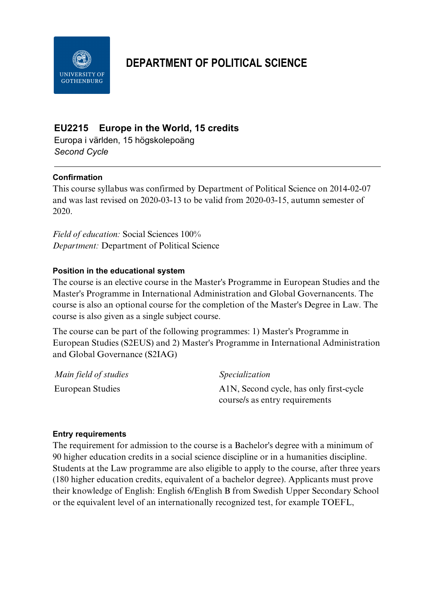

# **DEPARTMENT OF POLITICAL SCIENCE**

## **EU2215 Europe in the World, 15 credits**

Europa i världen, 15 högskolepoäng *Second Cycle*

## **Confirmation**

This course syllabus was confirmed by Department of Political Science on 2014-02-07 and was last revised on 2020-03-13 to be valid from 2020-03-15, autumn semester of 2020.

*Field of education:* Social Sciences 100% *Department:* Department of Political Science

## **Position in the educational system**

The course is an elective course in the Master's Programme in European Studies and the Master's Programme in International Administration and Global Governancents. The course is also an optional course for the completion of the Master's Degree in Law. The course is also given as a single subject course.

The course can be part of the following programmes: 1) Master's Programme in European Studies (S2EUS) and 2) Master's Programme in International Administration and Global Governance (S2IAG)

| Main field of studies | <i>Specialization</i>                   |
|-----------------------|-----------------------------------------|
| European Studies      | A1N, Second cycle, has only first-cycle |
|                       | course/s as entry requirements          |

## **Entry requirements**

The requirement for admission to the course is a Bachelor's degree with a minimum of 90 higher education credits in a social science discipline or in a humanities discipline. Students at the Law programme are also eligible to apply to the course, after three years (180 higher education credits, equivalent of a bachelor degree). Applicants must prove their knowledge of English: English 6/English B from Swedish Upper Secondary School or the equivalent level of an internationally recognized test, for example TOEFL,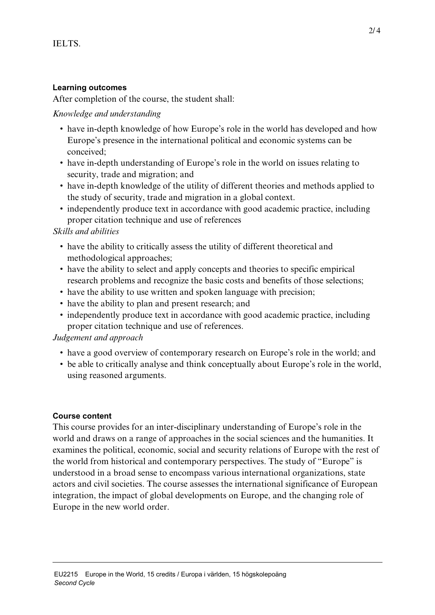## **Learning outcomes**

After completion of the course, the student shall:

#### *Knowledge and understanding*

- have in-depth knowledge of how Europe's role in the world has developed and how Europe's presence in the international political and economic systems can be conceived;
- have in-depth understanding of Europe's role in the world on issues relating to security, trade and migration; and
- have in-depth knowledge of the utility of different theories and methods applied to the study of security, trade and migration in a global context.
- independently produce text in accordance with good academic practice, including proper citation technique and use of references

#### *Skills and abilities*

- have the ability to critically assess the utility of different theoretical and methodological approaches;
- have the ability to select and apply concepts and theories to specific empirical research problems and recognize the basic costs and benefits of those selections;
- have the ability to use written and spoken language with precision;
- have the ability to plan and present research; and
- independently produce text in accordance with good academic practice, including proper citation technique and use of references.

#### *Judgement and approach*

- have a good overview of contemporary research on Europe's role in the world; and
- be able to critically analyse and think conceptually about Europe's role in the world, using reasoned arguments.

#### **Course content**

This course provides for an inter-disciplinary understanding of Europe's role in the world and draws on a range of approaches in the social sciences and the humanities. It examines the political, economic, social and security relations of Europe with the rest of the world from historical and contemporary perspectives. The study of "Europe" is understood in a broad sense to encompass various international organizations, state actors and civil societies. The course assesses the international significance of European integration, the impact of global developments on Europe, and the changing role of Europe in the new world order.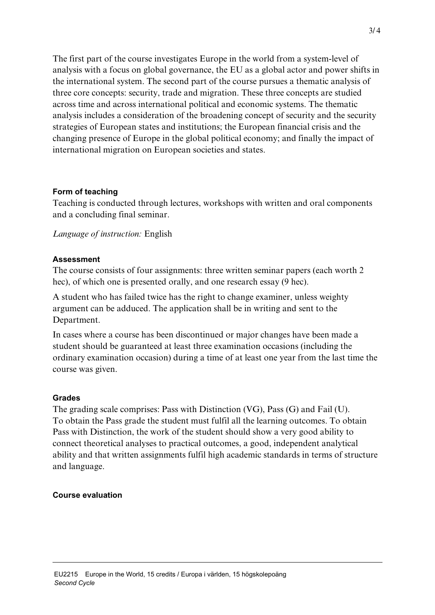The first part of the course investigates Europe in the world from a system-level of analysis with a focus on global governance, the EU as a global actor and power shifts in the international system. The second part of the course pursues a thematic analysis of three core concepts: security, trade and migration. These three concepts are studied across time and across international political and economic systems. The thematic analysis includes a consideration of the broadening concept of security and the security strategies of European states and institutions; the European financial crisis and the changing presence of Europe in the global political economy; and finally the impact of international migration on European societies and states.

## **Form of teaching**

Teaching is conducted through lectures, workshops with written and oral components and a concluding final seminar.

*Language of instruction:* English

#### **Assessment**

The course consists of four assignments: three written seminar papers (each worth 2 hec), of which one is presented orally, and one research essay (9 hec).

A student who has failed twice has the right to change examiner, unless weighty argument can be adduced. The application shall be in writing and sent to the Department.

In cases where a course has been discontinued or major changes have been made a student should be guaranteed at least three examination occasions (including the ordinary examination occasion) during a time of at least one year from the last time the course was given.

#### **Grades**

The grading scale comprises: Pass with Distinction (VG), Pass (G) and Fail (U). To obtain the Pass grade the student must fulfil all the learning outcomes. To obtain Pass with Distinction, the work of the student should show a very good ability to connect theoretical analyses to practical outcomes, a good, independent analytical ability and that written assignments fulfil high academic standards in terms of structure and language.

## **Course evaluation**